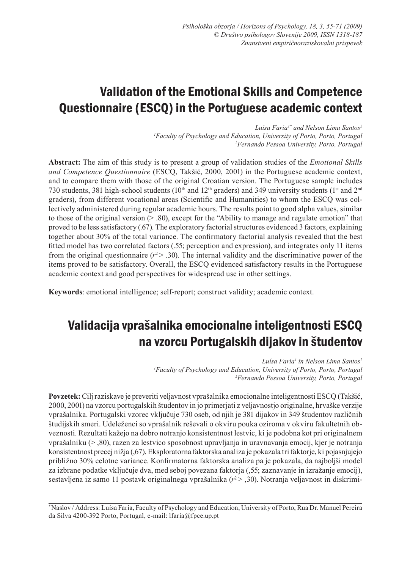# Validation of the Emotional Skills and Competence Questionnaire (ESCQ) in the Portuguese academic context

*Luísa Faria<sup>1\*</sup> and Nelson Lima Santos<sup>2</sup> 1 Faculty of Psychology and Education, University of Porto, Porto, Portugal 2 Fernando Pessoa University, Porto, Portugal*

**Abstract:** The aim of this study is to present a group of validation studies of the *Emotional Skills and Competence Questionnaire* (ESCQ, Takšić, 2000, 2001) in the Portuguese academic context, and to compare them with those of the original Croatian version. The Portuguese sample includes 730 students, 381 high-school students ( $10<sup>th</sup>$  and  $12<sup>th</sup>$  graders) and 349 university students ( $1<sup>st</sup>$  and  $2<sup>nd</sup>$ graders), from different vocational areas (Scientific and Humanities) to whom the ESCQ was collectively administered during regular academic hours. The results point to good alpha values, similar to those of the original version  $(> 0.80)$ , except for the "Ability to manage and regulate emotion" that proved to be less satisfactory (.67). The exploratory factorial structures evidenced 3 factors, explaining together about 30% of the total variance. The confirmatory factorial analysis revealed that the best fitted model has two correlated factors (.55; perception and expression), and integrates only 11 items from the original questionnaire  $(r^2 > .30)$ . The internal validity and the discriminative power of the items proved to be satisfactory. Overall, the ESCQ evidenced satisfactory results in the Portuguese academic context and good perspectives for widespread use in other settings.

**Keywords**: emotional intelligence; self-report; construct validity; academic context.

# Validacija vprašalnika emocionalne inteligentnosti ESCQ na vzorcu Portugalskih dijakov in študentov

*Luísa Faria<sup>1</sup> in Nelson Lima Santos2 1 Faculty of Psychology and Education, University of Porto, Porto, Portugal 2 Fernando Pessoa University, Porto, Portugal*

**Povzetek:** Cilj raziskave je preveriti veljavnost vprašalnika emocionalne inteligentnosti ESCQ (Takšić, 2000, 2001) na vzorcu portugalskih študentov in jo primerjati z veljavnostjo originalne, hrvaške verzije vprašalnika. Portugalski vzorec vključuje 730 oseb, od njih je 381 dijakov in 349 študentov različnih študijskih smeri. Udeleženci so vprašalnik reševali o okviru pouka oziroma v okviru fakultetnih obveznosti. Rezultati kažejo na dobro notranjo konsistentnost lestvic, ki je podobna kot pri originalnem vprašalniku (> ,80), razen za lestvico sposobnost upravljanja in uravnavanja emocij, kjer je notranja konsistentnost precej nižja (,67). Eksploratorna faktorska analiza je pokazala tri faktorje, ki pojasnjujejo približno 30% celotne variance. Konfirmatorna faktorska analiza pa je pokazala, da najboljši model za izbrane podatke vključuje dva, med seboj povezana faktorja (,55; zaznavanje in izražanje emocij), sestavljena iz samo 11 postavk originalnega vprašalnika (*r*2 > ,30). Notranja veljavnost in diskrimi-

\* Naslov / Address: Luísa Faria, Faculty of Psychology and Education, University of Porto, Rua Dr. Manuel Pereira da Silva 4200-392 Porto, Portugal, e-mail: lfaria@fpce.up.pt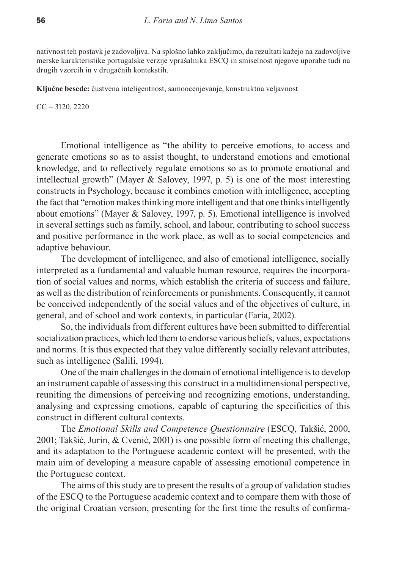nativnost teh postavk je zadovoljiva. Na splošno lahko zaključimo, da rezultati kažejo na zadovoljive merske karakteristike portugalske verzije vprašalnika ESCQ in smiselnost njegove uporabe tudi na drugih vzorcih in v drugačnih kontekstih.

**Ključne besede:** čustvena inteligentnost, samoocenjevanje, konstruktna veljavnost

 $CC = 3120, 2220$ 

Emotional intelligence as "the ability to perceive emotions, to access and generate emotions so as to assist thought, to understand emotions and emotional knowledge, and to reflectively regulate emotions so as to promote emotional and intellectual growth" (Mayer & Salovey, 1997, p. 5) is one of the most interesting constructs in Psychology, because it combines emotion with intelligence, accepting the fact that "emotion makes thinking more intelligent and that one thinks intelligently about emotions" (Mayer & Salovey, 1997, p. 5). Emotional intelligence is involved in several settings such as family, school, and labour, contributing to school success and positive performance in the work place, as well as to social competencies and adaptive behaviour.

The development of intelligence, and also of emotional intelligence, socially interpreted as a fundamental and valuable human resource, requires the incorporation of social values and norms, which establish the criteria of success and failure, as well as the distribution of reinforcements or punishments. Consequently, it cannot be conceived independently of the social values and of the objectives of culture, in general, and of school and work contexts, in particular (Faria, 2002).

So, the individuals from different cultures have been submitted to differential socialization practices, which led them to endorse various beliefs, values, expectations and norms. It is thus expected that they value differently socially relevant attributes, such as intelligence (Salili, 1994).

One of the main challenges in the domain of emotional intelligence is to develop an instrument capable of assessing this construct in a multidimensional perspective, reuniting the dimensions of perceiving and recognizing emotions, understanding, analysing and expressing emotions, capable of capturing the specificities of this construct in different cultural contexts.

The *Emotional Skills and Competence Questionnaire* (ESCQ, Takšić, 2000, 2001; Takšić, Jurin, & Cvenić, 2001) is one possible form of meeting this challenge, and its adaptation to the Portuguese academic context will be presented, with the main aim of developing a measure capable of assessing emotional competence in the Portuguese context.

The aims of this study are to present the results of a group of validation studies of the ESCQ to the Portuguese academic context and to compare them with those of the original Croatian version, presenting for the first time the results of confirma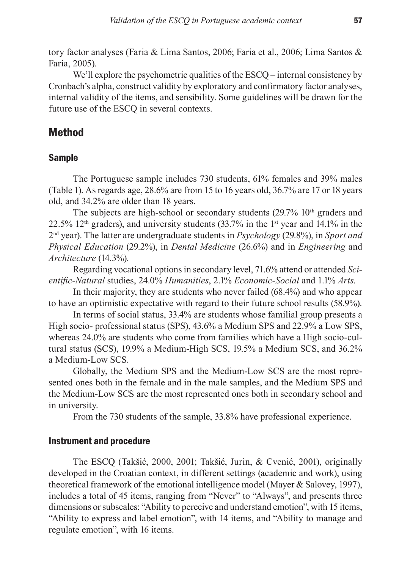tory factor analyses (Faria & Lima Santos, 2006; Faria et al., 2006; Lima Santos & Faria, 2005).

We'll explore the psychometric qualities of the ESCO – internal consistency by Cronbach's alpha, construct validity by exploratory and confirmatory factor analyses, internal validity of the items, and sensibility. Some guidelines will be drawn for the future use of the ESCQ in several contexts.

## Method

### Sample

The Portuguese sample includes 730 students, 61% females and 39% males (Table 1). As regards age, 28.6% are from 15 to 16 years old, 36.7% are 17 or 18 years old, and 34.2% are older than 18 years.

The subjects are high-school or secondary students  $(29.7\%~10<sup>th</sup>$  graders and 22.5%  $12<sup>th</sup>$  graders), and university students (33.7% in the 1<sup>st</sup> year and 14.1% in the 2nd year). The latter are undergraduate students in *Psychology* (29.8%), in *Sport and Physical Education* (29.2%), in *Dental Medicine* (26.6%) and in *Engineering* and *Architecture* (14.3%).

Regarding vocational options in secondary level, 71.6% attend or attended *Scientific*-*Natural* studies, 24.0% *Humanities*, 2.1% *Economic*-*Social* and 1.1% *Arts*.

In their majority, they are students who never failed (68.4%) and who appear to have an optimistic expectative with regard to their future school results (58.9%).

In terms of social status, 33.4% are students whose familial group presents a High socio- professional status (SPS), 43.6% a Medium SPS and 22.9% a Low SPS, whereas 24.0% are students who come from families which have a High socio-cultural status (SCS), 19.9% a Medium-High SCS, 19.5% a Medium SCS, and 36.2% a Medium-Low SCS.

Globally, the Medium SPS and the Medium-Low SCS are the most represented ones both in the female and in the male samples, and the Medium SPS and the Medium-Low SCS are the most represented ones both in secondary school and in university.

From the 730 students of the sample, 33.8% have professional experience.

### Instrument and procedure

The ESCQ (Takšić, 2000, 2001; Takšić, Jurin, & Cvenić, 2001), originally developed in the Croatian context, in different settings (academic and work), using theoretical framework of the emotional intelligence model (Mayer & Salovey, 1997), includes a total of 45 items, ranging from "Never" to "Always", and presents three dimensions or subscales: "Ability to perceive and understand emotion", with 15 items, "Ability to express and label emotion", with 14 items, and "Ability to manage and regulate emotion", with 16 items.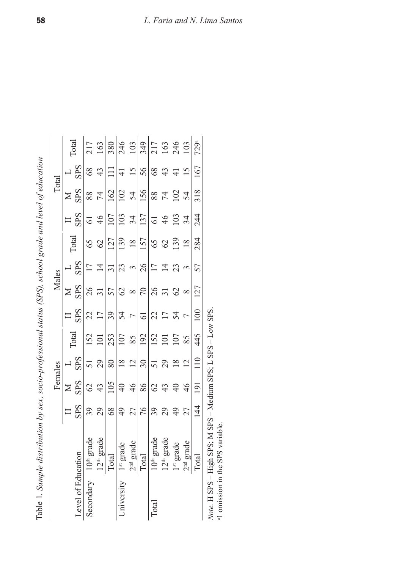|      | j                                                                         |
|------|---------------------------------------------------------------------------|
|      |                                                                           |
|      |                                                                           |
|      |                                                                           |
|      |                                                                           |
|      |                                                                           |
|      |                                                                           |
|      |                                                                           |
|      |                                                                           |
|      |                                                                           |
|      |                                                                           |
|      |                                                                           |
|      |                                                                           |
|      |                                                                           |
| くくりく | l                                                                         |
|      |                                                                           |
|      | Ì                                                                         |
|      |                                                                           |
|      |                                                                           |
|      |                                                                           |
|      |                                                                           |
|      |                                                                           |
|      |                                                                           |
|      |                                                                           |
|      |                                                                           |
|      |                                                                           |
|      |                                                                           |
|      |                                                                           |
|      |                                                                           |
|      |                                                                           |
|      |                                                                           |
|      |                                                                           |
|      |                                                                           |
|      |                                                                           |
|      |                                                                           |
| I    | ׇ֬֘֡                                                                      |
| ć    |                                                                           |
|      |                                                                           |
|      |                                                                           |
|      |                                                                           |
|      |                                                                           |
|      |                                                                           |
|      | í                                                                         |
|      |                                                                           |
| 2.12 |                                                                           |
|      |                                                                           |
|      |                                                                           |
|      |                                                                           |
|      |                                                                           |
|      |                                                                           |
| Ì    |                                                                           |
|      |                                                                           |
|      |                                                                           |
|      |                                                                           |
|      |                                                                           |
| ミこ   |                                                                           |
|      |                                                                           |
|      |                                                                           |
|      |                                                                           |
|      |                                                                           |
|      |                                                                           |
|      |                                                                           |
|      |                                                                           |
|      |                                                                           |
|      |                                                                           |
|      |                                                                           |
|      |                                                                           |
|      |                                                                           |
|      |                                                                           |
|      |                                                                           |
|      |                                                                           |
|      |                                                                           |
|      |                                                                           |
|      |                                                                           |
|      |                                                                           |
|      |                                                                           |
|      |                                                                           |
|      |                                                                           |
|      |                                                                           |
|      |                                                                           |
|      |                                                                           |
|      |                                                                           |
| Ì    |                                                                           |
|      | į                                                                         |
|      |                                                                           |
|      |                                                                           |
|      |                                                                           |
|      |                                                                           |
|      | d                                                                         |
|      | j                                                                         |
| ţ    | ֪֪֪ׅ֛֪ׅ֧֚֚֚֚֚֚֚֚֚֚֚֚֚֚֚֚֚֚֚֚֚֚֚֚֚֚֚֚֚֚֚֚֡֡֓֕֓֡֡֟֓֡֟֓֡֟֓֡֟֓֡֟֓֡֟֓֡֟֓֞֓֞֞֝֬ |
|      |                                                                           |
| ŀ    | ₫<br>l                                                                    |

|                    |                                                               |               |                | Females         |              |                |                         | Males           |                |                 | Total      |                  |                                                                                                 |
|--------------------|---------------------------------------------------------------|---------------|----------------|-----------------|--------------|----------------|-------------------------|-----------------|----------------|-----------------|------------|------------------|-------------------------------------------------------------------------------------------------|
|                    |                                                               |               | ⊠              |                 | <b>Cotal</b> | H              | ⋝                       |                 | <b>Total</b>   | $\mathbb{I}$    | ⋝          |                  | <b>Total</b>                                                                                    |
| Level of Education |                                                               | <b>SPS</b>    | <b>SPS</b>     | <b>SPS</b>      |              | SPS            | <b>SPS</b>              | SPS             |                | SPS             | <b>SPS</b> | S <sub>1</sub> S |                                                                                                 |
| Secondary          | $10^{\text{th}}$ grade                                        | 39            | $\mathcal{O}$  | 51              | 152          | 22             | 26                      | $\overline{17}$ | 65             | $\overline{61}$ | 88         | 68               | 217                                                                                             |
|                    | $12^{\text{th}}$ grade                                        | 29            | 43             | 29              | 101          | 17             | 51                      | $\overline{4}$  | $\Im$          | $\frac{4}{6}$   | 74         | 43               |                                                                                                 |
|                    | Total                                                         | 68            | 105            | 80              | 253          | 39             | 57                      | $\overline{31}$ | 127            | 107             | 162        | $\Xi$            | $\frac{15}{28}$ $\frac{15}{28}$ $\frac{15}{28}$ $\frac{17}{28}$ $\frac{37}{28}$ $\frac{47}{28}$ |
| University         | $1st grade$                                                   | 49            | $\overline{4}$ | $\frac{8}{18}$  | 107          | 54             | 62                      | 23              | 139            | 103             | 102        | $\frac{1}{4}$    |                                                                                                 |
|                    | $2nd$ grade                                                   | 27            | 46             | $\overline{c}$  | 85           | $\overline{C}$ | $\infty$                | $\epsilon$      | $\frac{8}{18}$ | 34              | 54         | 15               |                                                                                                 |
|                    | Total                                                         | 76            | 86             | 30              | 192          | $\overline{6}$ | $\sqrt{2}$              | 26              | 157            | 137             | 156        | 56               |                                                                                                 |
| Total              | $10^{\text{th}}$ grade                                        | 39            | $\mathcal{O}$  | 51              | 152          | 22             | 26                      | 17              | 65             | $\overline{61}$ | 88         | $68\,$           |                                                                                                 |
|                    | $12^{\text{th}}$ grade                                        | 29            | 43             | 29              | $\Xi$        | $\overline{1}$ | $\overline{\mathbf{3}}$ | $\overline{4}$  | 62             | 46              | 74         | 43               |                                                                                                 |
|                    | $1st grade$                                                   | 49            | $\sqrt{4}$     | $\overline{18}$ | 107          | 54             | 62                      | 23              | 139            | 103             | 102        | $\overline{4}$   |                                                                                                 |
|                    | $2nd$ grade                                                   | 27            | 46             | $\overline{2}$  | 85           | $\overline{ }$ | $\infty$                | 3               | $\frac{8}{18}$ | 34              | 54         | $\overline{15}$  | 103                                                                                             |
|                    | Total                                                         | $\frac{4}{4}$ | 191            | 110             | 445          | 100            | 127                     | 57              | 284            | 244             | 318        | 167              | 729a                                                                                            |
|                    | Note H SPS - High SPS - M SPS - Medium SPS - H SPS - H Gw SPS |               |                |                 |              |                |                         |                 |                |                 |            |                  |                                                                                                 |

*Note.* H SPS – High SPS; M SPS – Medium SPS; L SPS – Low SPS.<br><sup>a1</sup> omission in the SPS variable. JF J.  $\sum_{i=1}^{n}$ Q 5  $5E5, L$ **MECHALL** Note. H SPS – High SPS; M SPS –<br><sup>a</sup>1 omission in the SPS variable.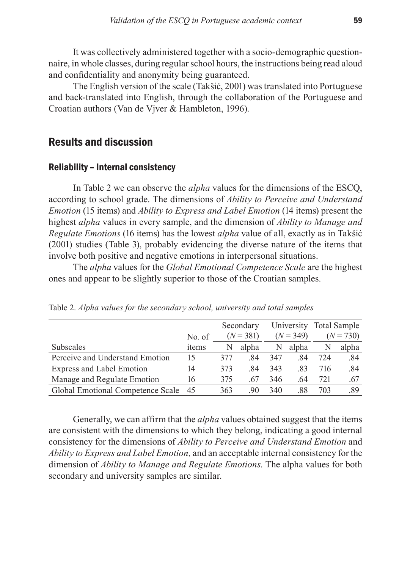It was collectively administered together with a socio-demographic questionnaire, in whole classes, during regular school hours, the instructions being read aloud and confidentiality and anonymity being guaranteed.

The English version of the scale (Takšić, 2001) was translated into Portuguese and back-translated into English, through the collaboration of the Portuguese and Croatian authors (Van de Vjver & Hambleton, 1996).

## Results and discussion

#### Reliability – Internal consistency

In Table 2 we can observe the *alpha* values for the dimensions of the ESCQ, according to school grade. The dimensions of *Ability to Perceive and Understand Emotion* (15 items) and *Ability to Express and Label Emotion* (14 items) present the highest *alpha* values in every sample, and the dimension of *Ability to Manage and Regulate Emotions* (16 items) has the lowest *alpha* value of all, exactly as in Takšić (2001) studies (Table 3), probably evidencing the diverse nature of the items that involve both positive and negative emotions in interpersonal situations.

The *alpha* values for the *Global Emotional Competence Scale* are the highest ones and appear to be slightly superior to those of the Croatian samples.

|                                   |        |     | Secondary   |     | University  |     | Total Sample |
|-----------------------------------|--------|-----|-------------|-----|-------------|-----|--------------|
|                                   | No. of |     | $(N = 381)$ |     | $(N = 349)$ |     | $(N = 730)$  |
| <b>Subscales</b>                  | items  | N   | alpha       | N   | alpha       | N   | alpha        |
| Perceive and Understand Emotion   | 15     | 377 | 84          | 347 | -84         | 724 | .84          |
| <b>Express and Label Emotion</b>  | 14     | 373 | 84          | 343 | -83         | 716 | .84          |
| Manage and Regulate Emotion       | 16     | 375 | .67         | 346 | .64         | 721 | .67          |
| Global Emotional Competence Scale | 45     | 363 | 90          | 340 | .88         | 703 | .89          |

Table 2. *Alpha values for the secondary school, university and total samples*

Generally, we can affirm that the *alpha* values obtained suggest that the items are consistent with the dimensions to which they belong, indicating a good internal consistency for the dimensions of *Ability to Perceive and Understand Emotion* and *Ability to Express and Label Emotion,* and an acceptable internal consistency for the dimension of *Ability to Manage and Regulate Emotions*. The alpha values for both secondary and university samples are similar.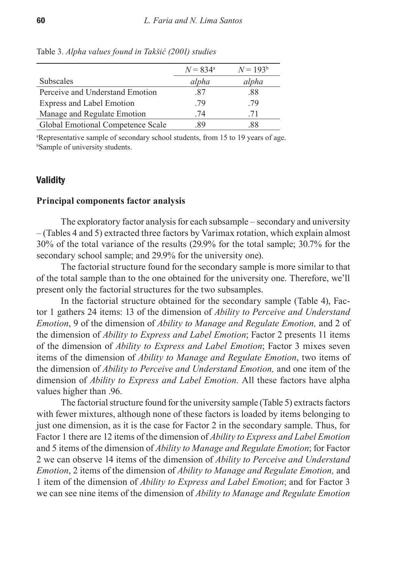|                                   | $N = 834^{\circ}$ | $N = 193^b$ |
|-----------------------------------|-------------------|-------------|
| <b>Subscales</b>                  | alpha             | alpha       |
| Perceive and Understand Emotion   | -87               | .88         |
| Express and Label Emotion         | .79               | .79         |
| Manage and Regulate Emotion       | 74                | 71          |
| Global Emotional Competence Scale | 89                | 88          |

Table 3. *Alpha values found in Takšić (2001) studies*

a Representative sample of secondary school students, from 15 to 19 years of age. b Sample of university students.

#### **Validity**

#### **Principal components factor analysis**

The exploratory factor analysis for each subsample – secondary and university – (Tables 4 and 5) extracted three factors by Varimax rotation, which explain almost 30% of the total variance of the results (29.9% for the total sample; 30.7% for the secondary school sample; and 29.9% for the university one).

The factorial structure found for the secondary sample is more similar to that of the total sample than to the one obtained for the university one. Therefore, we'll present only the factorial structures for the two subsamples.

In the factorial structure obtained for the secondary sample (Table 4), Factor 1 gathers 24 items: 13 of the dimension of *Ability to Perceive and Understand Emotion*, 9 of the dimension of *Ability to Manage and Regulate Emotion,* and 2 of the dimension of *Ability to Express and Label Emotion*; Factor 2 presents 11 items of the dimension of *Ability to Express and Label Emotion*; Factor 3 mixes seven items of the dimension of *Ability to Manage and Regulate Emotion*, two items of the dimension of *Ability to Perceive and Understand Emotion,* and one item of the dimension of *Ability to Express and Label Emotion*. All these factors have alpha values higher than .96.

The factorial structure found for the university sample (Table 5) extracts factors with fewer mixtures, although none of these factors is loaded by items belonging to just one dimension, as it is the case for Factor 2 in the secondary sample. Thus, for Factor 1 there are 12 items of the dimension of *Ability to Express and Label Emotion* and 5 items of the dimension of *Ability to Manage and Regulate Emotion*; for Factor 2 we can observe 14 items of the dimension of *Ability to Perceive and Understand Emotion*, 2 items of the dimension of *Ability to Manage and Regulate Emotion,* and 1 item of the dimension of *Ability to Express and Label Emotion*; and for Factor 3 we can see nine items of the dimension of *Ability to Manage and Regulate Emotion*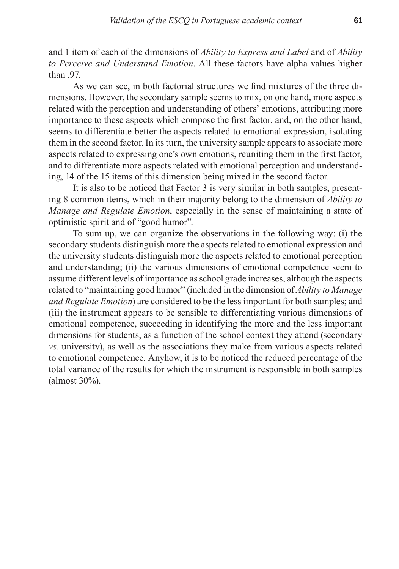and 1 item of each of the dimensions of *Ability to Express and Label* and of *Ability to Perceive and Understand Emotion*. All these factors have alpha values higher than 97

As we can see, in both factorial structures we find mixtures of the three dimensions. However, the secondary sample seems to mix, on one hand, more aspects related with the perception and understanding of others' emotions, attributing more importance to these aspects which compose the first factor, and, on the other hand, seems to differentiate better the aspects related to emotional expression, isolating them in the second factor. In its turn, the university sample appears to associate more aspects related to expressing one's own emotions, reuniting them in the first factor, and to differentiate more aspects related with emotional perception and understanding, 14 of the 15 items of this dimension being mixed in the second factor.

It is also to be noticed that Factor 3 is very similar in both samples, presenting 8 common items, which in their majority belong to the dimension of *Ability to Manage and Regulate Emotion*, especially in the sense of maintaining a state of optimistic spirit and of "good humor".

To sum up, we can organize the observations in the following way: (i) the secondary students distinguish more the aspects related to emotional expression and the university students distinguish more the aspects related to emotional perception and understanding; (ii) the various dimensions of emotional competence seem to assume different levels of importance as school grade increases, although the aspects related to "maintaining good humor" (included in the dimension of *Ability to Manage and Regulate Emotion*) are considered to be the less important for both samples; and (iii) the instrument appears to be sensible to differentiating various dimensions of emotional competence, succeeding in identifying the more and the less important dimensions for students, as a function of the school context they attend (secondary *vs.* university), as well as the associations they make from various aspects related to emotional competence. Anyhow, it is to be noticed the reduced percentage of the total variance of the results for which the instrument is responsible in both samples (almost 30%).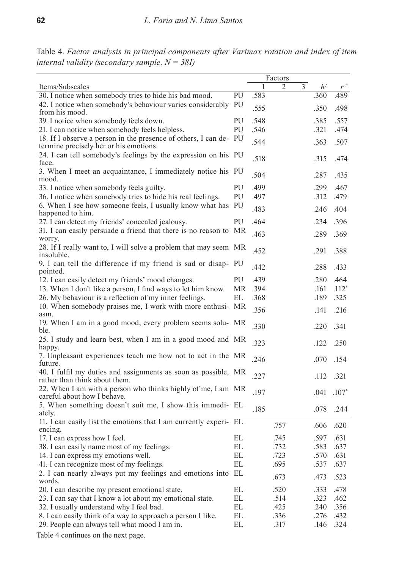Table 4. *Factor analysis in principal components after Varimax rotation and index of item internal validity (secondary sample, N = 381)* 

|                                                                                                          |    |      | Factors |                |                |          |
|----------------------------------------------------------------------------------------------------------|----|------|---------|----------------|----------------|----------|
| Items/Subscales                                                                                          |    | 1    | 2       | $\overline{3}$ | h <sup>2</sup> | $r^{\#}$ |
| 30. I notice when somebody tries to hide his bad mood.                                                   | PU | .583 |         |                | .360           | .489     |
| 42. I notice when somebody's behaviour varies considerably<br>from his mood.                             | PU | .555 |         |                | .350           | .498     |
| 39. I notice when somebody feels down.                                                                   | PU | .548 |         |                | .385           | .557     |
| 21. I can notice when somebody feels helpless.                                                           | PU | .546 |         |                | .321           | .474     |
| 18. If I observe a person in the presence of others, I can de-<br>termine precisely her or his emotions. | PU | .544 |         |                | .363           | .507     |
| 24. I can tell somebody's feelings by the expression on his PU<br>face.                                  |    | .518 |         |                | .315           | .474     |
| 3. When I meet an acquaintance, I immediately notice his PU<br>mood.                                     |    | .504 |         |                | .287           | .435     |
| 33. I notice when somebody feels guilty.                                                                 | PU | .499 |         |                | .299           | .467     |
| 36. I notice when somebody tries to hide his real feelings.                                              | PU | .497 |         |                | .312           | .479     |
| 6. When I see how someone feels, I usually know what has                                                 | PU |      |         |                |                |          |
| happened to him.                                                                                         |    | .483 |         |                | .246           | .404     |
| 27. I can detect my friends' concealed jealousy.                                                         | PU | .464 |         |                | .234           | .396     |
| 31. I can easily persuade a friend that there is no reason to MR<br>worry.                               |    | .463 |         |                | .289           | .369     |
| 28. If I really want to, I will solve a problem that may seem MR<br>insoluble.                           |    | .452 |         |                | .291           | .388     |
| 9. I can tell the difference if my friend is sad or disap- PU<br>pointed.                                |    | .442 |         |                | .288           | .433     |
| 12. I can easily detect my friends' mood changes.                                                        | PU | .439 |         |                | .280           | .464     |
| 13. When I don't like a person, I find ways to let him know.                                             | МR | .394 |         |                | .161           | $.112*$  |
| 26. My behaviour is a reflection of my inner feelings.                                                   | EL | .368 |         |                | .189           | .325     |
| 10. When somebody praises me, I work with more enthusi-<br>asm.                                          | МR | .356 |         |                | .141           | .216     |
| 19. When I am in a good mood, every problem seems solu- MR<br>ble.                                       |    | .330 |         |                | .220           | .341     |
| 25. I study and learn best, when I am in a good mood and MR<br>happy.                                    |    | .323 |         |                | .122           | .250     |
| 7. Unpleasant experiences teach me how not to act in the MR<br>future.                                   |    | .246 |         |                | .070           | .154     |
| 40. I fulfil my duties and assignments as soon as possible, MR                                           |    | .227 |         |                | .112           | .321     |
| rather than think about them.<br>22. When I am with a person who thinks highly of me, I am MR            |    |      |         |                |                |          |
| careful about how I behave.                                                                              |    | .197 |         |                | .041           | $.107*$  |
| 5. When something doesn't suit me, I show this immedi- EL<br>ately.                                      |    | .185 |         |                | .078           | .244     |
| 11. I can easily list the emotions that I am currently experi- EL<br>encing.                             |    |      | .757    |                | .606           | .620     |
| 17. I can express how I feel.                                                                            | EL |      | .745    |                | .597           | .631     |
| 38. I can easily name most of my feelings.                                                               | EL |      | .732    |                | .583           | .637     |
| 14. I can express my emotions well.                                                                      | EL |      | .723    |                | 570            | .631     |
| 41. I can recognize most of my feelings.                                                                 | EL |      | .695    |                | .537           | .637     |
| 2. I can nearly always put my feelings and emotions into EL<br>words.                                    |    |      | .673    |                | .473           | .523     |
| 20. I can describe my present emotional state.                                                           | EL |      | .520    |                | .333           | .478     |
| 23. I can say that I know a lot about my emotional state.                                                | EL |      | .514    |                | .323           | .462     |
| 32. I usually understand why I feel bad.                                                                 | EL |      | .425    |                | .240           | .356     |
| 8. I can easily think of a way to approach a person I like.                                              | EL |      | .336    |                | .276           | .432     |
| 29. People can always tell what mood I am in.                                                            | EL |      | .317    |                | .146           | .324     |

Table 4 continues on the next page.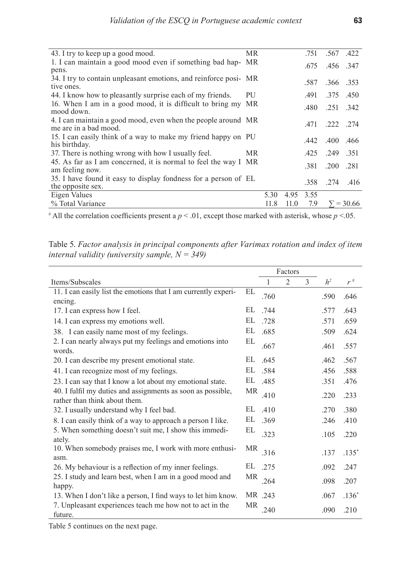| МR                                                               |      |      | .751 | .567.422  |                                        |
|------------------------------------------------------------------|------|------|------|-----------|----------------------------------------|
| 1. I can maintain a good mood even if something bad hap- MR      |      |      |      |           |                                        |
|                                                                  |      |      |      |           |                                        |
| 34. I try to contain unpleasant emotions, and reinforce posi- MR |      |      | .587 | .366.353  |                                        |
| PU                                                               |      |      | .491 | 375 450   |                                        |
| 16. When I am in a good mood, it is difficult to bring my<br>MR  |      |      | .480 | .251 .342 |                                        |
| 4. I can maintain a good mood, even when the people around MR    |      |      |      |           |                                        |
| 15. I can easily think of a way to make my friend happy on PU    |      |      |      |           |                                        |
| МR                                                               |      |      | .425 | 249 351   |                                        |
| 45. As far as I am concerned, it is normal to feel the way I MR  |      |      | .381 | .200      | .281                                   |
| 35. I have found it easy to display fondness for a person of EL  |      |      | .358 | .274 .416 |                                        |
|                                                                  | 5.30 | 4.95 | 3.55 |           |                                        |
|                                                                  | 11.8 | 11.0 | 7.9  |           | $\Sigma = 30.66$                       |
|                                                                  |      |      |      | .675      | .456.347<br>471 222 274<br>442 400 466 |

 $\#$  All the correlation coefficients present a  $p < 0.01$ , except those marked with asterisk, whose  $p < 0.05$ .

Table 5. *Factor analysis in principal components after Varimax rotation and index of item internal validity (university sample, N = 349)*

|                                                                                              |           |         | Factors        |   |                |         |
|----------------------------------------------------------------------------------------------|-----------|---------|----------------|---|----------------|---------|
| Items/Subscales                                                                              |           | 1       | $\overline{2}$ | 3 | h <sup>2</sup> | $r^*$   |
| 11. I can easily list the emotions that I am currently experi-                               | EL        | .760    |                |   | .590           | .646    |
| encing.                                                                                      |           |         |                |   |                |         |
| 17. I can express how I feel.                                                                | EL        | .744    |                |   | .577           | .643    |
| 14. I can express my emotions well.                                                          | EL        | .728    |                |   | .571           | .659    |
| 38. I can easily name most of my feelings.                                                   | EL        | .685    |                |   | .509           | .624    |
| 2. I can nearly always put my feelings and emotions into<br>words.                           | EL        | .667    |                |   | .461           | .557    |
| 20. I can describe my present emotional state.                                               | EL        | .645    |                |   | .462           | .567    |
| 41. I can recognize most of my feelings.                                                     | EL        | .584    |                |   | .456           | .588    |
| 23. I can say that I know a lot about my emotional state.                                    | EL        | .485    |                |   | .351           | .476    |
| 40. I fulfil my duties and assignments as soon as possible,<br>rather than think about them. | MR        | .410    |                |   | .220           | .233    |
| 32. I usually understand why I feel bad.                                                     | EL        | .410    |                |   | .270           | .380    |
| 8. I can easily think of a way to approach a person I like.                                  | EL        | .369    |                |   | .246           | .410    |
| 5. When something doesn't suit me, I show this immedi-<br>ately.                             | EL        | .323    |                |   | .105           | .220    |
| 10. When somebody praises me, I work with more enthusi-<br>asm.                              | MR        | .316    |                |   | .137           | $.135*$ |
| 26. My behaviour is a reflection of my inner feelings.                                       | EL        | .275    |                |   | .092           | .247    |
| 25. I study and learn best, when I am in a good mood and                                     | MR        | .264    |                |   | .098           | .207    |
| happy.                                                                                       |           |         |                |   |                |         |
| 13. When I don't like a person, I find ways to let him know.                                 |           | MR .243 |                |   | .067           | $.136*$ |
| 7. Unpleasant experiences teach me how not to act in the<br>future.                          | <b>MR</b> | .240    |                |   | .090           | .210    |

Table 5 continues on the next page.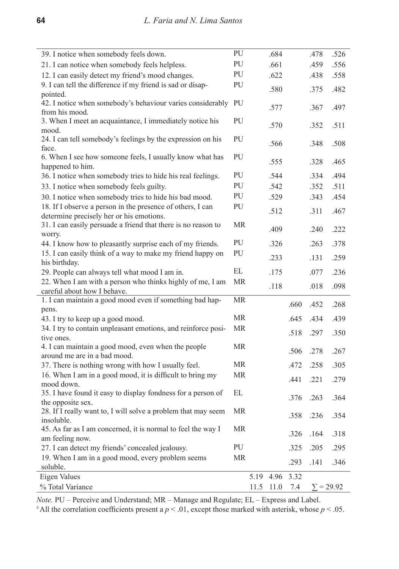| 39. I notice when somebody feels down.                                       | PU                |      | .684 |      | .478 | .526             |
|------------------------------------------------------------------------------|-------------------|------|------|------|------|------------------|
| 21. I can notice when somebody feels helpless.                               | PU                |      | .661 |      | .459 | .556             |
| 12. I can easily detect my friend's mood changes.                            | PU                |      | .622 |      | .438 | .558             |
| 9. I can tell the difference if my friend is sad or disap-                   | PU                |      | .580 |      | .375 | .482             |
| pointed.                                                                     |                   |      |      |      |      |                  |
| 42. I notice when somebody's behaviour varies considerably<br>from his mood. | PU                |      | .577 |      | .367 | .497             |
| 3. When I meet an acquaintance, I immediately notice his                     | PU                |      |      |      |      |                  |
| mood.                                                                        |                   |      | .570 |      | .352 | .511             |
| 24. I can tell somebody's feelings by the expression on his                  | PU                |      |      |      |      |                  |
| face.                                                                        |                   |      | .566 |      | .348 | .508             |
| 6. When I see how someone feels, I usually know what has                     | PU                |      | .555 |      | .328 | .465             |
| happened to him.                                                             |                   |      |      |      |      |                  |
| 36. I notice when somebody tries to hide his real feelings.                  | PU                |      | .544 |      | .334 | .494             |
| 33. I notice when somebody feels guilty.                                     | PU                |      | .542 |      | .352 | .511             |
| 30. I notice when somebody tries to hide his bad mood.                       | PU                |      | .529 |      | .343 | .454             |
| 18. If I observe a person in the presence of others, I can                   | PU                |      | .512 |      | .311 | .467             |
| determine precisely her or his emotions.                                     |                   |      |      |      |      |                  |
| 31. I can easily persuade a friend that there is no reason to                | <b>MR</b>         |      | .409 |      | .240 | .222             |
| worry.<br>44. I know how to pleasantly surprise each of my friends.          | PU                |      | .326 |      | .263 | .378             |
| 15. I can easily think of a way to make my friend happy on                   | PU                |      |      |      |      |                  |
| his birthday.                                                                |                   |      | .233 |      | .131 | .259             |
| 29. People can always tell what mood I am in.                                | EL                |      | .175 |      | .077 | .236             |
| 22. When I am with a person who thinks highly of me, I am                    | <b>MR</b>         |      |      |      |      |                  |
| careful about how I behave.                                                  |                   |      | .118 |      | .018 | .098             |
| 1. I can maintain a good mood even if something bad hap-                     | <b>MR</b>         |      |      |      |      |                  |
| pens.                                                                        |                   |      |      | .660 | .452 | .268             |
| 43. I try to keep up a good mood.                                            | <b>MR</b>         |      |      | .645 | .434 | .439             |
| 34. I try to contain unpleasant emotions, and reinforce posi-                | <b>MR</b>         |      |      | .518 | .297 | .350             |
| tive ones.                                                                   |                   |      |      |      |      |                  |
| 4. I can maintain a good mood, even when the people                          | <b>MR</b>         |      |      | .506 | .278 | .267             |
| around me are in a bad mood.                                                 |                   |      |      |      |      |                  |
| 37. There is nothing wrong with how I usually feel.                          | <b>MR</b>         |      |      | .472 | .258 | .305             |
| 16. When I am in a good mood, it is difficult to bring my                    | МR                |      |      | .441 | .221 | .279             |
| mood down.<br>35. I have found it easy to display fondness for a person of   | $\mathop{\rm EL}$ |      |      |      |      |                  |
| the opposite sex.                                                            |                   |      |      | .376 | .263 | .364             |
| 28. If I really want to, I will solve a problem that may seem                | <b>MR</b>         |      |      |      |      |                  |
| insoluble.                                                                   |                   |      |      | .358 | .236 | .354             |
| 45. As far as I am concerned, it is normal to feel the way I                 | MR                |      |      | .326 | .164 | .318             |
| am feeling now.                                                              |                   |      |      |      |      |                  |
| 27. I can detect my friends' concealed jealousy.                             | PU                |      |      | .325 | .205 | .295             |
| 19. When I am in a good mood, every problem seems                            | MR                |      |      | .293 | .141 | .346             |
| soluble.                                                                     |                   |      |      |      |      |                  |
| Eigen Values                                                                 |                   | 5.19 | 4.96 | 3.32 |      |                  |
| % Total Variance                                                             |                   | 11.5 | 11.0 | 7.4  |      | $\Sigma = 29.92$ |

*Note.* PU – Perceive and Understand; MR – Manage and Regulate; EL – Express and Label.

 $*$ All the correlation coefficients present a  $p < .01$ , except those marked with asterisk, whose  $p < .05$ .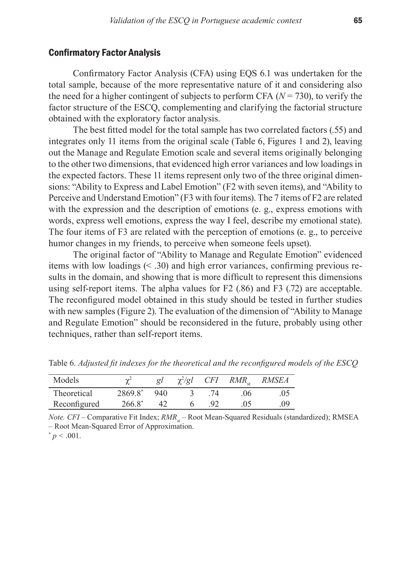#### Confirmatory Factor Analysis

Confirmatory Factor Analysis (CFA) using EQS 6.1 was undertaken for the total sample, because of the more representative nature of it and considering also the need for a higher contingent of subjects to perform CFA  $(N = 730)$ , to verify the factor structure of the ESCQ, complementing and clarifying the factorial structure obtained with the exploratory factor analysis.

The best fitted model for the total sample has two correlated factors (.55) and integrates only 11 items from the original scale (Table 6, Figures 1 and 2), leaving out the Manage and Regulate Emotion scale and several items originally belonging to the other two dimensions, that evidenced high error variances and low loadings in the expected factors. These 11 items represent only two of the three original dimensions: "Ability to Express and Label Emotion" (F2 with seven items), and "Ability to Perceive and Understand Emotion" (F3 with four items). The 7 items of F2 are related with the expression and the description of emotions (e. g., express emotions with words, express well emotions, express the way I feel, describe my emotional state). The four items of F3 are related with the perception of emotions (e. g., to perceive humor changes in my friends, to perceive when someone feels upset).

The original factor of "Ability to Manage and Regulate Emotion" evidenced items with low loadings (< .30) and high error variances, confirming previous results in the domain, and showing that is more difficult to represent this dimensions using self-report items. The alpha values for F2 (.86) and F3 (.72) are acceptable. The reconfigured model obtained in this study should be tested in further studies with new samples (Figure 2). The evaluation of the dimension of "Ability to Manage and Regulate Emotion" should be reconsidered in the future, probably using other techniques, rather than self-report items.

| Models       | $\sim$    | gΙ  | $\chi^2$ /gl | <i>CFI</i> | $RMR_{\text{at}}$ | <i>RMSEA</i> |
|--------------|-----------|-----|--------------|------------|-------------------|--------------|
| Theoretical  | 2869.8*   | 940 |              |            | .06               | .05          |
| Reconfigured | $266.8^*$ |     |              |            | .05               | (9)          |

Table 6. *Adjusted fit indexes for the theoretical and the reconfigured models of the ESCQ*

*Note. CFI* – Comparative Fit Index;  $RMR<sub>st</sub>$  – Root Mean-Squared Residuals (standardized); RMSEA – Root Mean-Squared Error of Approximation.  $p < .001$ .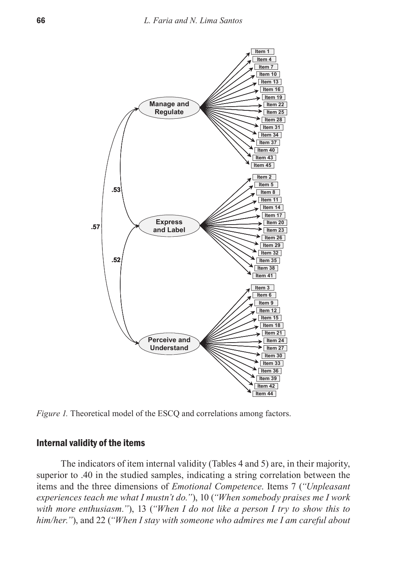

*Figure 1.* Theoretical model of the ESCQ and correlations among factors.

### Internal validity of the items

The indicators of item internal validity (Tables 4 and 5) are, in their majority, superior to .40 in the studied samples, indicating a string correlation between the items and the three dimensions of *Emotional Competence*. Items 7 (*"Unpleasant experiences teach me what I mustn't do."*), 10 (*"When somebody praises me I work with more enthusiasm."*), 13 (*"When I do not like a person I try to show this to him/her."*), and 22 (*"When I stay with someone who admires me I am careful about*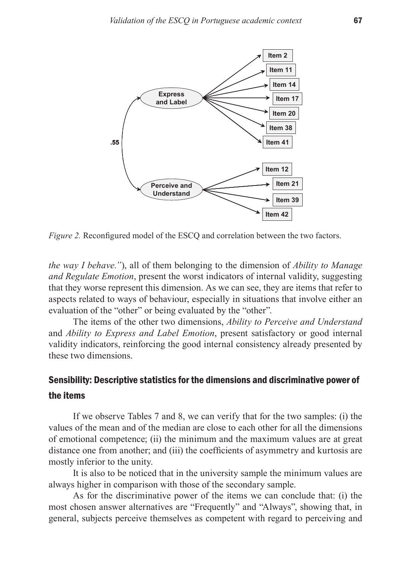

*Figure 2.* Reconfigured model of the ESCQ and correlation between the two factors.

*the way I behave."*), all of them belonging to the dimension of *Ability to Manage and Regulate Emotion*, present the worst indicators of internal validity, suggesting that they worse represent this dimension. As we can see, they are items that refer to aspects related to ways of behaviour, especially in situations that involve either an evaluation of the "other" or being evaluated by the "other".

The items of the other two dimensions, *Ability to Perceive and Understand* and *Ability to Express and Label Emotion*, present satisfactory or good internal validity indicators, reinforcing the good internal consistency already presented by these two dimensions.

# Sensibility: Descriptive statistics for the dimensions and discriminative power of the items

If we observe Tables 7 and 8, we can verify that for the two samples: (i) the values of the mean and of the median are close to each other for all the dimensions of emotional competence; (ii) the minimum and the maximum values are at great distance one from another; and (iii) the coefficients of asymmetry and kurtosis are mostly inferior to the unity.

It is also to be noticed that in the university sample the minimum values are always higher in comparison with those of the secondary sample.

As for the discriminative power of the items we can conclude that: (i) the most chosen answer alternatives are "Frequently" and "Always", showing that, in general, subjects perceive themselves as competent with regard to perceiving and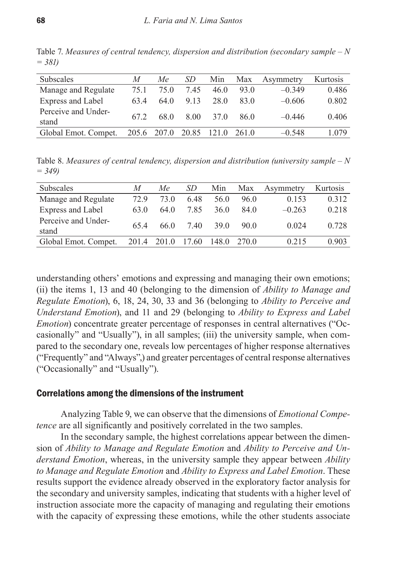| Subscales                    | M    | Me          | SD    | Min             | Max   | Asymmetry | Kurtosis |
|------------------------------|------|-------------|-------|-----------------|-------|-----------|----------|
| Manage and Regulate          | 75 1 | 75 O        | 745   | 46.0            | 93.0  | $-0.349$  | 0.486    |
| Express and Label            | 634  | 64 0        | 9 1 3 | 28.0            | 83 O  | $-0.606$  | 0.802    |
| Perceive and Under-<br>stand | 67 2 | 68.0        | 8.00  | 37 <sup>0</sup> | 86.0  | $-0.446$  | 0.406    |
| Global Emot. Compet.         |      | 205.6 207.0 | 20.85 | 121.0           | 261.0 | $-0.548$  | 1.079    |
|                              |      |             |       |                 |       |           |          |

Table 7. *Measures of central tendency, dispersion and distribution (secondary sample – N = 381)* 

Table 8. *Measures of central tendency, dispersion and distribution (university sample – N = 349)* 

| <b>Subscales</b>             | M     | Мe    | SD    | Min   | Max   | Asymmetry | Kurtosis |
|------------------------------|-------|-------|-------|-------|-------|-----------|----------|
| Manage and Regulate          | 72.9  | 73 O  | 6.48  | 56.0  | 96.0  | 0.153     | 0.312    |
| Express and Label            | 63.0  | 64 0  | 7.85  | 36 Q  | 84.0  | $-0.263$  | 0.218    |
| Perceive and Under-<br>stand | 654   | 66 0  | 7.40  | 39 O  | 90 Q  | 0.024     | 0.728    |
| Global Emot. Compet.         | 201.4 | 201.0 | 17.60 | 148.0 | 270.0 | 0.215     | 0.903    |
|                              |       |       |       |       |       |           |          |

understanding others' emotions and expressing and managing their own emotions; (ii) the items 1, 13 and 40 (belonging to the dimension of *Ability to Manage and Regulate Emotion*), 6, 18, 24, 30, 33 and 36 (belonging to *Ability to Perceive and Understand Emotion*), and 11 and 29 (belonging to *Ability to Express and Label Emotion*) concentrate greater percentage of responses in central alternatives ("Occasionally" and "Usually"), in all samples; (iii) the university sample, when compared to the secondary one, reveals low percentages of higher response alternatives ("Frequently" and "Always",) and greater percentages of central response alternatives ("Occasionally" and "Usually").

#### Correlations among the dimensions of the instrument

Analyzing Table 9, we can observe that the dimensions of *Emotional Competence* are all significantly and positively correlated in the two samples.

In the secondary sample, the highest correlations appear between the dimension of *Ability to Manage and Regulate Emotion* and *Ability to Perceive and Understand Emotion*, whereas, in the university sample they appear between *Ability to Manage and Regulate Emotion* and *Ability to Express and Label Emotion*. These results support the evidence already observed in the exploratory factor analysis for the secondary and university samples, indicating that students with a higher level of instruction associate more the capacity of managing and regulating their emotions with the capacity of expressing these emotions, while the other students associate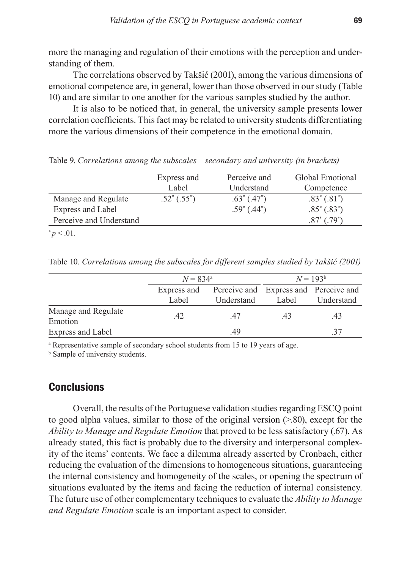more the managing and regulation of their emotions with the perception and understanding of them.

The correlations observed by Takšić (2001), among the various dimensions of emotional competence are, in general, lower than those observed in our study (Table 10) and are similar to one another for the various samples studied by the author.

It is also to be noticed that, in general, the university sample presents lower correlation coefficients. This fact may be related to university students differentiating more the various dimensions of their competence in the emotional domain.

Express and Label Perceive and Understand Global Emotional **Competence** Manage and Regulate  $.52^*$   $(.55^*)$  $.63^*$   $(.47^*)$  $.83^*(.81^*)$ Express and Label  $.59^{\circ}$  (.44<sup>\*</sup>)  $.85^*(.83^*)$ Perceive and Understand  $(.79^*)$  $* p < .01.$ 

Table 9. *Correlations among the subscales – secondary and university (in brackets)*

Table 10. *Correlations among the subscales for different samples studied by Takšić (2001)* 

|                                | $N = 834^{\circ}$ |                                       |       | $N = 193^b$ |
|--------------------------------|-------------------|---------------------------------------|-------|-------------|
|                                | Express and       | Perceive and Express and Perceive and |       |             |
|                                | Label             | Understand                            | Label | Understand  |
| Manage and Regulate<br>Emotion |                   | 47                                    | 43    | 43          |
| Express and Label              |                   | 49                                    |       |             |

<sup>a</sup> Representative sample of secondary school students from 15 to 19 years of age.

**b** Sample of university students.

## **Conclusions**

Overall, the results of the Portuguese validation studies regarding ESCQ point to good alpha values, similar to those of the original version (>.80), except for the *Ability to Manage and Regulate Emotion* that proved to be less satisfactory (.67). As already stated, this fact is probably due to the diversity and interpersonal complexity of the items' contents. We face a dilemma already asserted by Cronbach, either reducing the evaluation of the dimensions to homogeneous situations, guaranteeing the internal consistency and homogeneity of the scales, or opening the spectrum of situations evaluated by the items and facing the reduction of internal consistency. The future use of other complementary techniques to evaluate the *Ability to Manage and Regulate Emotion* scale is an important aspect to consider.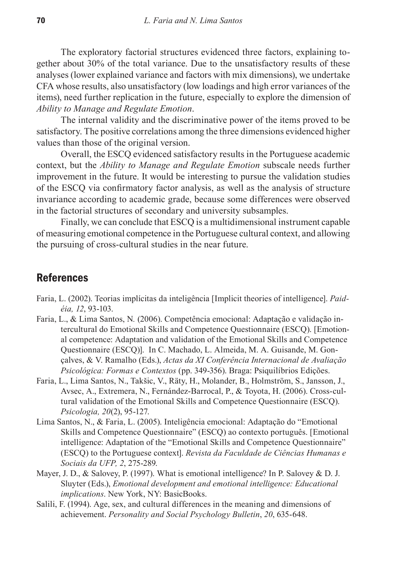The exploratory factorial structures evidenced three factors, explaining together about 30% of the total variance. Due to the unsatisfactory results of these analyses (lower explained variance and factors with mix dimensions), we undertake CFA whose results, also unsatisfactory (low loadings and high error variances of the items), need further replication in the future, especially to explore the dimension of *Ability to Manage and Regulate Emotion*.

The internal validity and the discriminative power of the items proved to be satisfactory. The positive correlations among the three dimensions evidenced higher values than those of the original version.

Overall, the ESCQ evidenced satisfactory results in the Portuguese academic context, but the *Ability to Manage and Regulate Emotion* subscale needs further improvement in the future. It would be interesting to pursue the validation studies of the ESCQ via confirmatory factor analysis, as well as the analysis of structure invariance according to academic grade, because some differences were observed in the factorial structures of secondary and university subsamples.

Finally, we can conclude that ESCQ is a multidimensional instrument capable of measuring emotional competence in the Portuguese cultural context, and allowing the pursuing of cross-cultural studies in the near future.

### **References**

- Faria, L. (2002). Teorias implícitas da inteligência [Implicit theories of intelligence]. *Paidéia, 12*, 93-103.
- Faria, L., & Lima Santos, N*.* (2006). Competência emocional: Adaptação e validação intercultural do Emotional Skills and Competence Questionnaire (ESCQ). [Emotional competence: Adaptation and validation of the Emotional Skills and Competence Questionnaire (ESCQ)]. In C. Machado, L. Almeida, M. A. Guisande, M. Gonçalves, & V. Ramalho (Eds.), *Actas da XI Conferência Internacional de Avaliação Psicológica: Formas e Contextos* (pp. 349-356). Braga: Psiquilíbrios Edições.
- Faria, L., Lima Santos, N., Takšic, V., Räty, H., Molander, B., Holmström, S., Jansson, J., Avsec, A., Extremera, N., Fernández-Barrocal, P., & Toyota, H. (2006). Cross-cultural validation of the Emotional Skills and Competence Questionnaire (ESCQ). *Psicologia, 20*(2), 95-127.
- Lima Santos, N., & Faria, L. (2005). Inteligência emocional: Adaptação do "Emotional Skills and Competence Questionnaire" (ESCQ) ao contexto português. [Emotional intelligence: Adaptation of the "Emotional Skills and Competence Questionnaire" (ESCQ) to the Portuguese context]. *Revista da Faculdade de Ciências Humanas e Sociais da UFP, 2*, 275-289.
- Mayer, J. D., & Salovey, P. (1997). What is emotional intelligence? In P. Salovey & D. J. Sluyter (Eds.), *Emotional development and emotional intelligence: Educational implications*. New York, NY: BasicBooks.
- Salili, F. (1994). Age, sex, and cultural differences in the meaning and dimensions of achievement. *Personality and Social Psychology Bulletin*, *20*, 635-648.